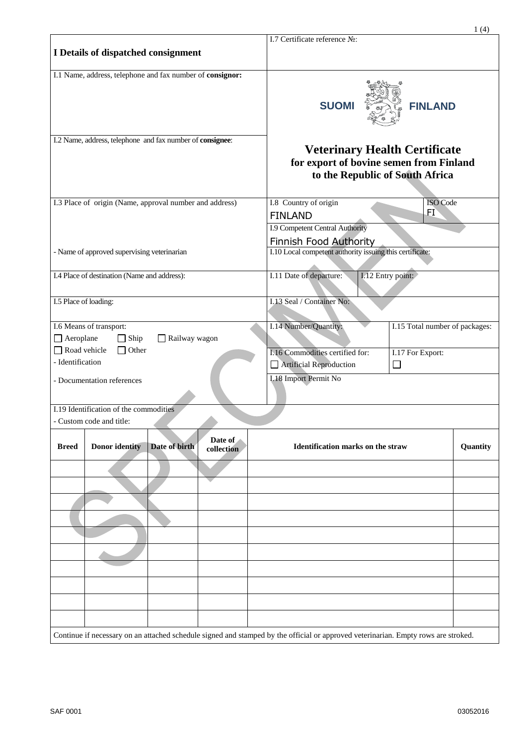| I.7 Certificate reference No:<br>I Details of dispatched consignment<br>I.1 Name, address, telephone and fax number of consignor:<br><b>FINLAND</b><br><b>SUOMI</b><br>I.2 Name, address, telephone and fax number of consignee:<br><b>Veterinary Health Certificate</b><br>for export of bovine semen from Finland<br>to the Republic of South Africa<br>I.3 Place of origin (Name, approval number and address)<br>I.8 Country of origin<br><b>ISO</b> Code<br>FI<br><b>FINLAND</b><br>I.9 Competent Central Authority<br><b>Finnish Food Authority</b><br>I.10 Local competent authority issuing this certificate:<br>- Name of approved supervising veterinarian<br>I.11 Date of departure:<br>I.4 Place of destination (Name and address):<br>I.12 Entry point:<br>I.13 Seal / Container No:<br>I.5 Place of loading:<br>I.14 Number/Quantity:<br>I.6 Means of transport:<br>I.15 Total number of packages:<br>$\Box$ Aeroplane<br>Railway wagon<br>$\Box$ Ship<br>Road vehicle<br>Other<br>I.16 Commodities certified for:<br>I.17 For Export:<br>- Identification<br>Artificial Reproduction<br>$\Box$<br><b>I.18 Import Permit No</b><br>- Documentation references<br>I.19 Identification of the commodities<br>- Custom code and title:<br>Date of<br><b>Donor identity</b><br>Date of birth<br>Identification marks on the straw<br>Quantity<br><b>Breed</b><br>collection<br>Continue if necessary on an attached schedule signed and stamped by the official or approved veterinarian. Empty rows are stroked. |  |  |  |  |  | 1(4) |
|-----------------------------------------------------------------------------------------------------------------------------------------------------------------------------------------------------------------------------------------------------------------------------------------------------------------------------------------------------------------------------------------------------------------------------------------------------------------------------------------------------------------------------------------------------------------------------------------------------------------------------------------------------------------------------------------------------------------------------------------------------------------------------------------------------------------------------------------------------------------------------------------------------------------------------------------------------------------------------------------------------------------------------------------------------------------------------------------------------------------------------------------------------------------------------------------------------------------------------------------------------------------------------------------------------------------------------------------------------------------------------------------------------------------------------------------------------------------------------------------------------------------------------|--|--|--|--|--|------|
|                                                                                                                                                                                                                                                                                                                                                                                                                                                                                                                                                                                                                                                                                                                                                                                                                                                                                                                                                                                                                                                                                                                                                                                                                                                                                                                                                                                                                                                                                                                             |  |  |  |  |  |      |
|                                                                                                                                                                                                                                                                                                                                                                                                                                                                                                                                                                                                                                                                                                                                                                                                                                                                                                                                                                                                                                                                                                                                                                                                                                                                                                                                                                                                                                                                                                                             |  |  |  |  |  |      |
|                                                                                                                                                                                                                                                                                                                                                                                                                                                                                                                                                                                                                                                                                                                                                                                                                                                                                                                                                                                                                                                                                                                                                                                                                                                                                                                                                                                                                                                                                                                             |  |  |  |  |  |      |
|                                                                                                                                                                                                                                                                                                                                                                                                                                                                                                                                                                                                                                                                                                                                                                                                                                                                                                                                                                                                                                                                                                                                                                                                                                                                                                                                                                                                                                                                                                                             |  |  |  |  |  |      |
|                                                                                                                                                                                                                                                                                                                                                                                                                                                                                                                                                                                                                                                                                                                                                                                                                                                                                                                                                                                                                                                                                                                                                                                                                                                                                                                                                                                                                                                                                                                             |  |  |  |  |  |      |
|                                                                                                                                                                                                                                                                                                                                                                                                                                                                                                                                                                                                                                                                                                                                                                                                                                                                                                                                                                                                                                                                                                                                                                                                                                                                                                                                                                                                                                                                                                                             |  |  |  |  |  |      |
|                                                                                                                                                                                                                                                                                                                                                                                                                                                                                                                                                                                                                                                                                                                                                                                                                                                                                                                                                                                                                                                                                                                                                                                                                                                                                                                                                                                                                                                                                                                             |  |  |  |  |  |      |
|                                                                                                                                                                                                                                                                                                                                                                                                                                                                                                                                                                                                                                                                                                                                                                                                                                                                                                                                                                                                                                                                                                                                                                                                                                                                                                                                                                                                                                                                                                                             |  |  |  |  |  |      |
|                                                                                                                                                                                                                                                                                                                                                                                                                                                                                                                                                                                                                                                                                                                                                                                                                                                                                                                                                                                                                                                                                                                                                                                                                                                                                                                                                                                                                                                                                                                             |  |  |  |  |  |      |
|                                                                                                                                                                                                                                                                                                                                                                                                                                                                                                                                                                                                                                                                                                                                                                                                                                                                                                                                                                                                                                                                                                                                                                                                                                                                                                                                                                                                                                                                                                                             |  |  |  |  |  |      |
|                                                                                                                                                                                                                                                                                                                                                                                                                                                                                                                                                                                                                                                                                                                                                                                                                                                                                                                                                                                                                                                                                                                                                                                                                                                                                                                                                                                                                                                                                                                             |  |  |  |  |  |      |
|                                                                                                                                                                                                                                                                                                                                                                                                                                                                                                                                                                                                                                                                                                                                                                                                                                                                                                                                                                                                                                                                                                                                                                                                                                                                                                                                                                                                                                                                                                                             |  |  |  |  |  |      |
|                                                                                                                                                                                                                                                                                                                                                                                                                                                                                                                                                                                                                                                                                                                                                                                                                                                                                                                                                                                                                                                                                                                                                                                                                                                                                                                                                                                                                                                                                                                             |  |  |  |  |  |      |
|                                                                                                                                                                                                                                                                                                                                                                                                                                                                                                                                                                                                                                                                                                                                                                                                                                                                                                                                                                                                                                                                                                                                                                                                                                                                                                                                                                                                                                                                                                                             |  |  |  |  |  |      |
|                                                                                                                                                                                                                                                                                                                                                                                                                                                                                                                                                                                                                                                                                                                                                                                                                                                                                                                                                                                                                                                                                                                                                                                                                                                                                                                                                                                                                                                                                                                             |  |  |  |  |  |      |
|                                                                                                                                                                                                                                                                                                                                                                                                                                                                                                                                                                                                                                                                                                                                                                                                                                                                                                                                                                                                                                                                                                                                                                                                                                                                                                                                                                                                                                                                                                                             |  |  |  |  |  |      |
|                                                                                                                                                                                                                                                                                                                                                                                                                                                                                                                                                                                                                                                                                                                                                                                                                                                                                                                                                                                                                                                                                                                                                                                                                                                                                                                                                                                                                                                                                                                             |  |  |  |  |  |      |
|                                                                                                                                                                                                                                                                                                                                                                                                                                                                                                                                                                                                                                                                                                                                                                                                                                                                                                                                                                                                                                                                                                                                                                                                                                                                                                                                                                                                                                                                                                                             |  |  |  |  |  |      |
|                                                                                                                                                                                                                                                                                                                                                                                                                                                                                                                                                                                                                                                                                                                                                                                                                                                                                                                                                                                                                                                                                                                                                                                                                                                                                                                                                                                                                                                                                                                             |  |  |  |  |  |      |
|                                                                                                                                                                                                                                                                                                                                                                                                                                                                                                                                                                                                                                                                                                                                                                                                                                                                                                                                                                                                                                                                                                                                                                                                                                                                                                                                                                                                                                                                                                                             |  |  |  |  |  |      |
|                                                                                                                                                                                                                                                                                                                                                                                                                                                                                                                                                                                                                                                                                                                                                                                                                                                                                                                                                                                                                                                                                                                                                                                                                                                                                                                                                                                                                                                                                                                             |  |  |  |  |  |      |
|                                                                                                                                                                                                                                                                                                                                                                                                                                                                                                                                                                                                                                                                                                                                                                                                                                                                                                                                                                                                                                                                                                                                                                                                                                                                                                                                                                                                                                                                                                                             |  |  |  |  |  |      |
|                                                                                                                                                                                                                                                                                                                                                                                                                                                                                                                                                                                                                                                                                                                                                                                                                                                                                                                                                                                                                                                                                                                                                                                                                                                                                                                                                                                                                                                                                                                             |  |  |  |  |  |      |
|                                                                                                                                                                                                                                                                                                                                                                                                                                                                                                                                                                                                                                                                                                                                                                                                                                                                                                                                                                                                                                                                                                                                                                                                                                                                                                                                                                                                                                                                                                                             |  |  |  |  |  |      |
|                                                                                                                                                                                                                                                                                                                                                                                                                                                                                                                                                                                                                                                                                                                                                                                                                                                                                                                                                                                                                                                                                                                                                                                                                                                                                                                                                                                                                                                                                                                             |  |  |  |  |  |      |
|                                                                                                                                                                                                                                                                                                                                                                                                                                                                                                                                                                                                                                                                                                                                                                                                                                                                                                                                                                                                                                                                                                                                                                                                                                                                                                                                                                                                                                                                                                                             |  |  |  |  |  |      |
|                                                                                                                                                                                                                                                                                                                                                                                                                                                                                                                                                                                                                                                                                                                                                                                                                                                                                                                                                                                                                                                                                                                                                                                                                                                                                                                                                                                                                                                                                                                             |  |  |  |  |  |      |
|                                                                                                                                                                                                                                                                                                                                                                                                                                                                                                                                                                                                                                                                                                                                                                                                                                                                                                                                                                                                                                                                                                                                                                                                                                                                                                                                                                                                                                                                                                                             |  |  |  |  |  |      |
|                                                                                                                                                                                                                                                                                                                                                                                                                                                                                                                                                                                                                                                                                                                                                                                                                                                                                                                                                                                                                                                                                                                                                                                                                                                                                                                                                                                                                                                                                                                             |  |  |  |  |  |      |
|                                                                                                                                                                                                                                                                                                                                                                                                                                                                                                                                                                                                                                                                                                                                                                                                                                                                                                                                                                                                                                                                                                                                                                                                                                                                                                                                                                                                                                                                                                                             |  |  |  |  |  |      |
|                                                                                                                                                                                                                                                                                                                                                                                                                                                                                                                                                                                                                                                                                                                                                                                                                                                                                                                                                                                                                                                                                                                                                                                                                                                                                                                                                                                                                                                                                                                             |  |  |  |  |  |      |
|                                                                                                                                                                                                                                                                                                                                                                                                                                                                                                                                                                                                                                                                                                                                                                                                                                                                                                                                                                                                                                                                                                                                                                                                                                                                                                                                                                                                                                                                                                                             |  |  |  |  |  |      |
|                                                                                                                                                                                                                                                                                                                                                                                                                                                                                                                                                                                                                                                                                                                                                                                                                                                                                                                                                                                                                                                                                                                                                                                                                                                                                                                                                                                                                                                                                                                             |  |  |  |  |  |      |
|                                                                                                                                                                                                                                                                                                                                                                                                                                                                                                                                                                                                                                                                                                                                                                                                                                                                                                                                                                                                                                                                                                                                                                                                                                                                                                                                                                                                                                                                                                                             |  |  |  |  |  |      |
|                                                                                                                                                                                                                                                                                                                                                                                                                                                                                                                                                                                                                                                                                                                                                                                                                                                                                                                                                                                                                                                                                                                                                                                                                                                                                                                                                                                                                                                                                                                             |  |  |  |  |  |      |
|                                                                                                                                                                                                                                                                                                                                                                                                                                                                                                                                                                                                                                                                                                                                                                                                                                                                                                                                                                                                                                                                                                                                                                                                                                                                                                                                                                                                                                                                                                                             |  |  |  |  |  |      |
|                                                                                                                                                                                                                                                                                                                                                                                                                                                                                                                                                                                                                                                                                                                                                                                                                                                                                                                                                                                                                                                                                                                                                                                                                                                                                                                                                                                                                                                                                                                             |  |  |  |  |  |      |
|                                                                                                                                                                                                                                                                                                                                                                                                                                                                                                                                                                                                                                                                                                                                                                                                                                                                                                                                                                                                                                                                                                                                                                                                                                                                                                                                                                                                                                                                                                                             |  |  |  |  |  |      |
|                                                                                                                                                                                                                                                                                                                                                                                                                                                                                                                                                                                                                                                                                                                                                                                                                                                                                                                                                                                                                                                                                                                                                                                                                                                                                                                                                                                                                                                                                                                             |  |  |  |  |  |      |
|                                                                                                                                                                                                                                                                                                                                                                                                                                                                                                                                                                                                                                                                                                                                                                                                                                                                                                                                                                                                                                                                                                                                                                                                                                                                                                                                                                                                                                                                                                                             |  |  |  |  |  |      |
|                                                                                                                                                                                                                                                                                                                                                                                                                                                                                                                                                                                                                                                                                                                                                                                                                                                                                                                                                                                                                                                                                                                                                                                                                                                                                                                                                                                                                                                                                                                             |  |  |  |  |  |      |
|                                                                                                                                                                                                                                                                                                                                                                                                                                                                                                                                                                                                                                                                                                                                                                                                                                                                                                                                                                                                                                                                                                                                                                                                                                                                                                                                                                                                                                                                                                                             |  |  |  |  |  |      |
|                                                                                                                                                                                                                                                                                                                                                                                                                                                                                                                                                                                                                                                                                                                                                                                                                                                                                                                                                                                                                                                                                                                                                                                                                                                                                                                                                                                                                                                                                                                             |  |  |  |  |  |      |
|                                                                                                                                                                                                                                                                                                                                                                                                                                                                                                                                                                                                                                                                                                                                                                                                                                                                                                                                                                                                                                                                                                                                                                                                                                                                                                                                                                                                                                                                                                                             |  |  |  |  |  |      |
|                                                                                                                                                                                                                                                                                                                                                                                                                                                                                                                                                                                                                                                                                                                                                                                                                                                                                                                                                                                                                                                                                                                                                                                                                                                                                                                                                                                                                                                                                                                             |  |  |  |  |  |      |
|                                                                                                                                                                                                                                                                                                                                                                                                                                                                                                                                                                                                                                                                                                                                                                                                                                                                                                                                                                                                                                                                                                                                                                                                                                                                                                                                                                                                                                                                                                                             |  |  |  |  |  |      |
|                                                                                                                                                                                                                                                                                                                                                                                                                                                                                                                                                                                                                                                                                                                                                                                                                                                                                                                                                                                                                                                                                                                                                                                                                                                                                                                                                                                                                                                                                                                             |  |  |  |  |  |      |
|                                                                                                                                                                                                                                                                                                                                                                                                                                                                                                                                                                                                                                                                                                                                                                                                                                                                                                                                                                                                                                                                                                                                                                                                                                                                                                                                                                                                                                                                                                                             |  |  |  |  |  |      |
|                                                                                                                                                                                                                                                                                                                                                                                                                                                                                                                                                                                                                                                                                                                                                                                                                                                                                                                                                                                                                                                                                                                                                                                                                                                                                                                                                                                                                                                                                                                             |  |  |  |  |  |      |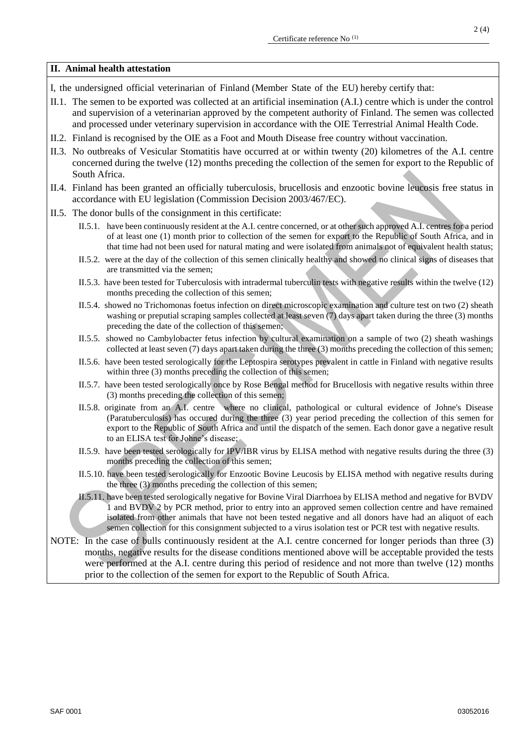## **II. Animal health attestation**

- I, the undersigned official veterinarian of Finland (Member State of the EU) hereby certify that:
- II.1. The semen to be exported was collected at an artificial insemination (A.I.) centre which is under the control and supervision of a veterinarian approved by the competent authority of Finland. The semen was collected and processed under veterinary supervision in accordance with the OIE Terrestrial Animal Health Code.
- II.2. Finland is recognised by the OIE as a Foot and Mouth Disease free country without vaccination.
- II.3. No outbreaks of Vesicular Stomatitis have occurred at or within twenty (20) kilometres of the A.I. centre concerned during the twelve (12) months preceding the collection of the semen for export to the Republic of South Africa.
- II.4. Finland has been granted an officially tuberculosis, brucellosis and enzootic bovine leucosis free status in accordance with EU legislation (Commission Decision 2003/467/EC).
- II.5. The donor bulls of the consignment in this certificate:
	- II.5.1. have been continuously resident at the A.I. centre concerned, or at other such approved A.I. centres for a period of at least one (1) month prior to collection of the semen for export to the Republic of South Africa, and in that time had not been used for natural mating and were isolated from animals not of equivalent health status;
	- II.5.2. were at the day of the collection of this semen clinically healthy and showed no clinical signs of diseases that are transmitted via the semen;
	- II.5.3. have been tested for Tuberculosis with intradermal tuberculin tests with negative results within the twelve (12) months preceding the collection of this semen;
	- II.5.4. showed no Trichomonas foetus infection on direct microscopic examination and culture test on two (2) sheath washing or preputial scraping samples collected at least seven (7) days apart taken during the three (3) months preceding the date of the collection of this semen;
	- II.5.5. showed no Cambylobacter fetus infection by cultural examination on a sample of two (2) sheath washings collected at least seven (7) days apart taken during the three (3) months preceding the collection of this semen;
	- II.5.6. have been tested serologically for the Leptospira serotypes prevalent in cattle in Finland with negative results within three (3) months preceding the collection of this semen;
	- II.5.7. have been tested serologically once by Rose Bengal method for Brucellosis with negative results within three (3) months preceding the collection of this semen;
	- II.5.8. originate from an A.I. centre where no clinical, pathological or cultural evidence of Johne's Disease (Paratuberculosis) has occured during the three (3) year period preceding the collection of this semen for export to the Republic of South Africa and until the dispatch of the semen. Each donor gave a negative result to an ELISA test for Johne's disease;
	- II.5.9. have been tested serologically for IPV/IBR virus by ELISA method with negative results during the three (3) months preceding the collection of this semen;
	- II.5.10. have been tested serologically for Enzootic Bovine Leucosis by ELISA method with negative results during the three (3) months preceding the collection of this semen;
	- II.5.11. have been tested serologically negative for Bovine Viral Diarrhoea by ELISA method and negative for BVDV 1 and BVDV 2 by PCR method, prior to entry into an approved semen collection centre and have remained isolated from other animals that have not been tested negative and all donors have had an aliquot of each semen collection for this consignment subjected to a virus isolation test or PCR test with negative results.
- NOTE: In the case of bulls continuously resident at the A.I. centre concerned for longer periods than three (3) months, negative results for the disease conditions mentioned above will be acceptable provided the tests were performed at the A.I. centre during this period of residence and not more than twelve (12) months prior to the collection of the semen for export to the Republic of South Africa.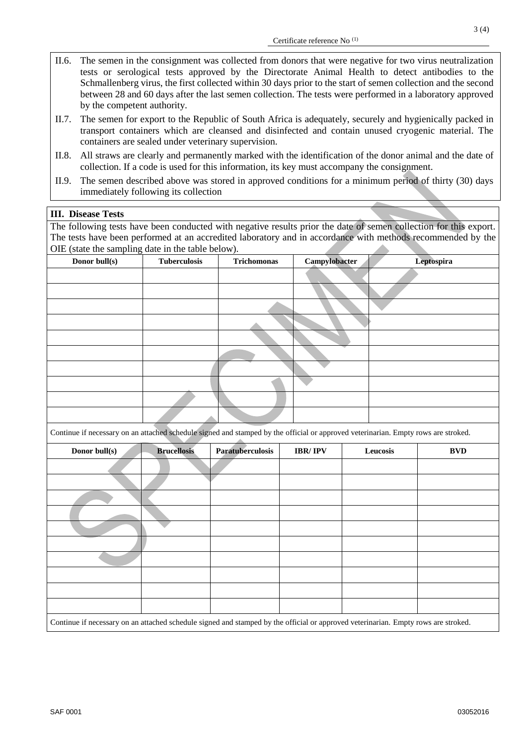- II.6. The semen in the consignment was collected from donors that were negative for two virus neutralization tests or serological tests approved by the Directorate Animal Health to detect antibodies to the Schmallenberg virus, the first collected within 30 days prior to the start of semen collection and the second between 28 and 60 days after the last semen collection. The tests were performed in a laboratory approved by the competent authority.
- II.7. The semen for export to the Republic of South Africa is adequately, securely and hygienically packed in transport containers which are cleansed and disinfected and contain unused cryogenic material. The containers are sealed under veterinary supervision.
- II.8. All straws are clearly and permanently marked with the identification of the donor animal and the date of collection. If a code is used for this information, its key must accompany the consignment.
- II.9. The semen described above was stored in approved conditions for a minimum period of thirty (30) days immediately following its collection

## **III. Disease Tests**

The following tests have been conducted with negative results prior the date of semen collection for this export. The tests have been performed at an accredited laboratory and in accordance with methods recommended by the OIE (state the sampling date in the table below).

| Donor bull(s) | <b>Tuberculosis</b> | <b>Trichomonas</b> | Campylobacter | Leptospira |
|---------------|---------------------|--------------------|---------------|------------|
|               |                     |                    |               |            |
|               |                     |                    |               |            |
|               |                     |                    |               |            |
|               |                     |                    |               |            |
|               |                     |                    |               |            |
|               |                     |                    |               |            |
|               |                     |                    |               |            |
|               |                     |                    |               |            |
|               |                     |                    |               |            |
|               |                     |                    |               |            |
|               |                     |                    |               |            |

Continue if necessary on an attached schedule signed and stamped by the official or approved veterinarian. Empty rows are stroked.

| Donor bull(s)                                                                                                                      | <b>Brucellosis</b> | Paratuberculosis | <b>IBR/IPV</b> | Leucosis | <b>BVD</b> |
|------------------------------------------------------------------------------------------------------------------------------------|--------------------|------------------|----------------|----------|------------|
|                                                                                                                                    |                    |                  |                |          |            |
|                                                                                                                                    |                    |                  |                |          |            |
|                                                                                                                                    |                    |                  |                |          |            |
|                                                                                                                                    |                    |                  |                |          |            |
|                                                                                                                                    |                    |                  |                |          |            |
|                                                                                                                                    |                    |                  |                |          |            |
|                                                                                                                                    |                    |                  |                |          |            |
|                                                                                                                                    |                    |                  |                |          |            |
|                                                                                                                                    |                    |                  |                |          |            |
|                                                                                                                                    |                    |                  |                |          |            |
| Continue if necessary on an attached schedule signed and stamped by the official or approved veterinarian. Empty rows are stroked. |                    |                  |                |          |            |